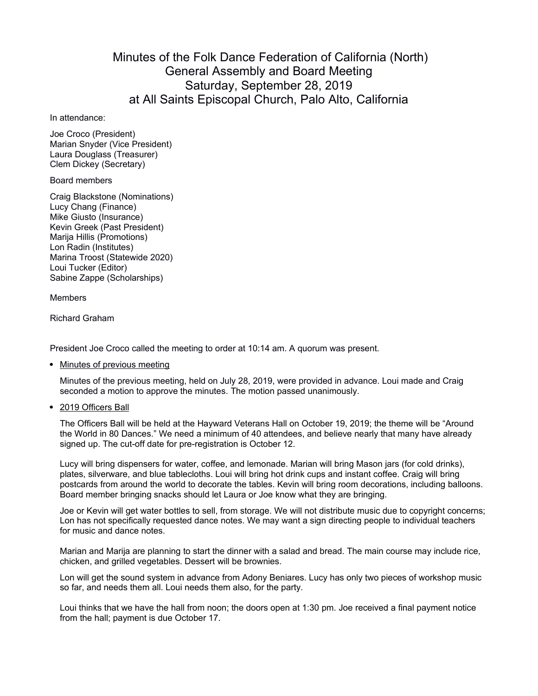# Minutes of the Folk Dance Federation of California (North) General Assembly and Board Meeting Saturday, September 28, 2019 at All Saints Episcopal Church, Palo Alto, California

### In attendance:

Joe Croco (President) Marian Snyder (Vice President) Laura Douglass (Treasurer) Clem Dickey (Secretary)

## Board members

Craig Blackstone (Nominations) Lucy Chang (Finance) Mike Giusto (Insurance) Kevin Greek (Past President) Marija Hillis (Promotions) Lon Radin (Institutes) Marina Troost (Statewide 2020) Loui Tucker (Editor) Sabine Zappe (Scholarships)

## Members

## Richard Graham

President Joe Croco called the meeting to order at 10:14 am. A quorum was present.

• Minutes of previous meeting

Minutes of the previous meeting, held on July 28, 2019, were provided in advance. Loui made and Craig seconded a motion to approve the minutes. The motion passed unanimously.

• 2019 Officers Ball

The Officers Ball will be held at the Hayward Veterans Hall on October 19, 2019; the theme will be "Around the World in 80 Dances." We need a minimum of 40 attendees, and believe nearly that many have already signed up. The cut-off date for pre-registration is October 12.

Lucy will bring dispensers for water, coffee, and lemonade. Marian will bring Mason jars (for cold drinks), plates, silverware, and blue tablecloths. Loui will bring hot drink cups and instant coffee. Craig will bring postcards from around the world to decorate the tables. Kevin will bring room decorations, including balloons. Board member bringing snacks should let Laura or Joe know what they are bringing.

Joe or Kevin will get water bottles to sell, from storage. We will not distribute music due to copyright concerns; Lon has not specifically requested dance notes. We may want a sign directing people to individual teachers for music and dance notes.

Marian and Marija are planning to start the dinner with a salad and bread. The main course may include rice, chicken, and grilled vegetables. Dessert will be brownies.

Lon will get the sound system in advance from Adony Beniares. Lucy has only two pieces of workshop music so far, and needs them all. Loui needs them also, for the party.

Loui thinks that we have the hall from noon; the doors open at 1:30 pm. Joe received a final payment notice from the hall; payment is due October 17.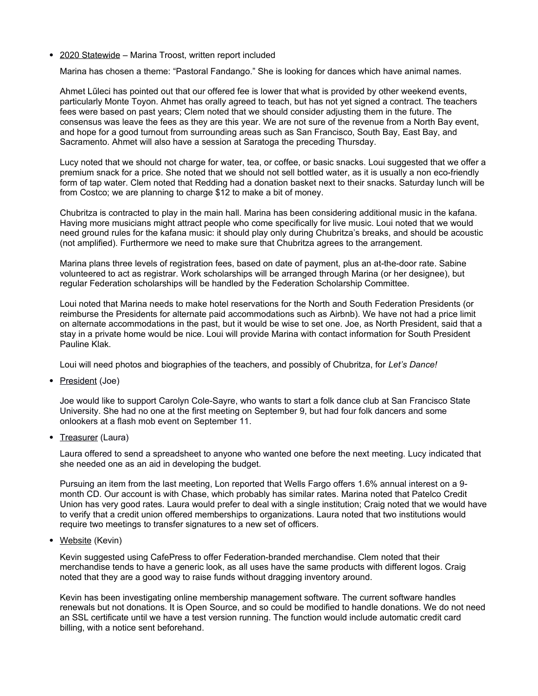2020 Statewide – Marina Troost, written report included

Marina has chosen a theme: "Pastoral Fandango." She is looking for dances which have animal names.

Ahmet Lűleci has pointed out that our offered fee is lower that what is provided by other weekend events, particularly Monte Toyon. Ahmet has orally agreed to teach, but has not yet signed a contract. The teachers fees were based on past years; Clem noted that we should consider adjusting them in the future. The consensus was leave the fees as they are this year. We are not sure of the revenue from a North Bay event, and hope for a good turnout from surrounding areas such as San Francisco, South Bay, East Bay, and Sacramento. Ahmet will also have a session at Saratoga the preceding Thursday.

Lucy noted that we should not charge for water, tea, or coffee, or basic snacks. Loui suggested that we offer a premium snack for a price. She noted that we should not sell bottled water, as it is usually a non eco-friendly form of tap water. Clem noted that Redding had a donation basket next to their snacks. Saturday lunch will be from Costco; we are planning to charge \$12 to make a bit of money.

Chubritza is contracted to play in the main hall. Marina has been considering additional music in the kafana. Having more musicians might attract people who come specifically for live music. Loui noted that we would need ground rules for the kafana music: it should play only during Chubritza's breaks, and should be acoustic (not amplified). Furthermore we need to make sure that Chubritza agrees to the arrangement.

Marina plans three levels of registration fees, based on date of payment, plus an at-the-door rate. Sabine volunteered to act as registrar. Work scholarships will be arranged through Marina (or her designee), but regular Federation scholarships will be handled by the Federation Scholarship Committee.

Loui noted that Marina needs to make hotel reservations for the North and South Federation Presidents (or reimburse the Presidents for alternate paid accommodations such as Airbnb). We have not had a price limit on alternate accommodations in the past, but it would be wise to set one. Joe, as North President, said that a stay in a private home would be nice. Loui will provide Marina with contact information for South President Pauline Klak.

Loui will need photos and biographies of the teachers, and possibly of Chubritza, for *Let's Dance!*

• President (Joe)

Joe would like to support Carolyn Cole-Sayre, who wants to start a folk dance club at San Francisco State University. She had no one at the first meeting on September 9, but had four folk dancers and some onlookers at a flash mob event on September 11.

• Treasurer (Laura)

Laura offered to send a spreadsheet to anyone who wanted one before the next meeting. Lucy indicated that she needed one as an aid in developing the budget.

Pursuing an item from the last meeting, Lon reported that Wells Fargo offers 1.6% annual interest on a 9 month CD. Our account is with Chase, which probably has similar rates. Marina noted that Patelco Credit Union has very good rates. Laura would prefer to deal with a single institution; Craig noted that we would have to verify that a credit union offered memberships to organizations. Laura noted that two institutions would require two meetings to transfer signatures to a new set of officers.

Website (Kevin)

Kevin suggested using CafePress to offer Federation-branded merchandise. Clem noted that their merchandise tends to have a generic look, as all uses have the same products with different logos. Craig noted that they are a good way to raise funds without dragging inventory around.

Kevin has been investigating online membership management software. The current software handles renewals but not donations. It is Open Source, and so could be modified to handle donations. We do not need an SSL certificate until we have a test version running. The function would include automatic credit card billing, with a notice sent beforehand.